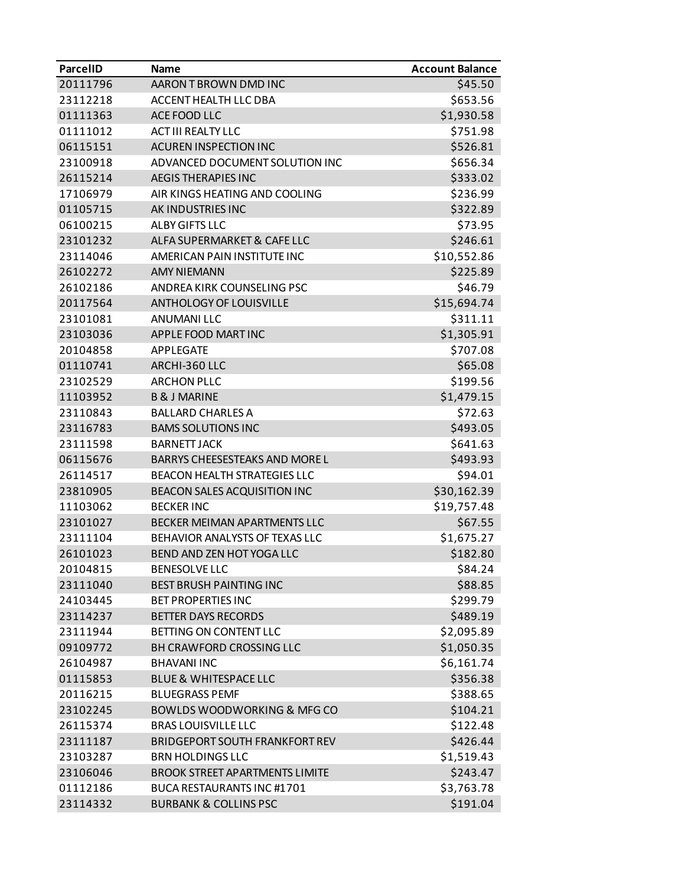| <b>ParcelID</b> | Name                                   | <b>Account Balance</b> |
|-----------------|----------------------------------------|------------------------|
| 20111796        | AARON T BROWN DMD INC                  | \$45.50                |
| 23112218        | ACCENT HEALTH LLC DBA                  | \$653.56               |
| 01111363        | ACE FOOD LLC                           | \$1,930.58             |
| 01111012        | <b>ACT III REALTY LLC</b>              | \$751.98               |
| 06115151        | <b>ACUREN INSPECTION INC</b>           | \$526.81               |
| 23100918        | ADVANCED DOCUMENT SOLUTION INC         | \$656.34               |
| 26115214        | <b>AEGIS THERAPIES INC</b>             | \$333.02               |
| 17106979        | AIR KINGS HEATING AND COOLING          | \$236.99               |
| 01105715        | AK INDUSTRIES INC                      | \$322.89               |
| 06100215        | <b>ALBY GIFTS LLC</b>                  | \$73.95                |
| 23101232        | ALFA SUPERMARKET & CAFE LLC            | \$246.61               |
| 23114046        | AMERICAN PAIN INSTITUTE INC            | \$10,552.86            |
| 26102272        | <b>AMY NIEMANN</b>                     | \$225.89               |
| 26102186        | ANDREA KIRK COUNSELING PSC             | \$46.79                |
| 20117564        | <b>ANTHOLOGY OF LOUISVILLE</b>         | \$15,694.74            |
| 23101081        | <b>ANUMANILLC</b>                      | \$311.11               |
| 23103036        | APPLE FOOD MARTINC                     | \$1,305.91             |
| 20104858        | <b>APPLEGATE</b>                       | \$707.08               |
| 01110741        | ARCHI-360 LLC                          | \$65.08                |
| 23102529        | <b>ARCHON PLLC</b>                     | \$199.56               |
| 11103952        | <b>B &amp; J MARINE</b>                | \$1,479.15             |
| 23110843        | <b>BALLARD CHARLES A</b>               | \$72.63                |
| 23116783        | <b>BAMS SOLUTIONS INC</b>              | \$493.05               |
| 23111598        | <b>BARNETT JACK</b>                    | \$641.63               |
| 06115676        | BARRYS CHEESESTEAKS AND MORE L         | \$493.93               |
| 26114517        | <b>BEACON HEALTH STRATEGIES LLC</b>    | \$94.01                |
| 23810905        | BEACON SALES ACQUISITION INC           | \$30,162.39            |
| 11103062        | <b>BECKER INC</b>                      | \$19,757.48            |
| 23101027        | BECKER MEIMAN APARTMENTS LLC           | \$67.55                |
| 23111104        | BEHAVIOR ANALYSTS OF TEXAS LLC         | \$1,675.27             |
| 26101023        | BEND AND ZEN HOT YOGA LLC              | \$182.80               |
| 20104815        | <b>BENESOLVE LLC</b>                   | \$84.24                |
| 23111040        | <b>BEST BRUSH PAINTING INC</b>         | \$88.85                |
| 24103445        | <b>BET PROPERTIES INC</b>              | \$299.79               |
| 23114237        | <b>BETTER DAYS RECORDS</b>             | \$489.19               |
| 23111944        | BETTING ON CONTENT LLC                 | \$2,095.89             |
| 09109772        | <b>BH CRAWFORD CROSSING LLC</b>        | \$1,050.35             |
| 26104987        | <b>BHAVANI INC</b>                     | \$6,161.74             |
| 01115853        | <b>BLUE &amp; WHITESPACE LLC</b>       | \$356.38               |
| 20116215        | <b>BLUEGRASS PEMF</b>                  | \$388.65               |
| 23102245        | <b>BOWLDS WOODWORKING &amp; MFG CO</b> | \$104.21               |
| 26115374        | <b>BRAS LOUISVILLE LLC</b>             | \$122.48               |
| 23111187        | <b>BRIDGEPORT SOUTH FRANKFORT REV</b>  | \$426.44               |
| 23103287        | <b>BRN HOLDINGS LLC</b>                | \$1,519.43             |
| 23106046        | <b>BROOK STREET APARTMENTS LIMITE</b>  | \$243.47               |
| 01112186        | BUCA RESTAURANTS INC #1701             | \$3,763.78             |
| 23114332        | <b>BURBANK &amp; COLLINS PSC</b>       | \$191.04               |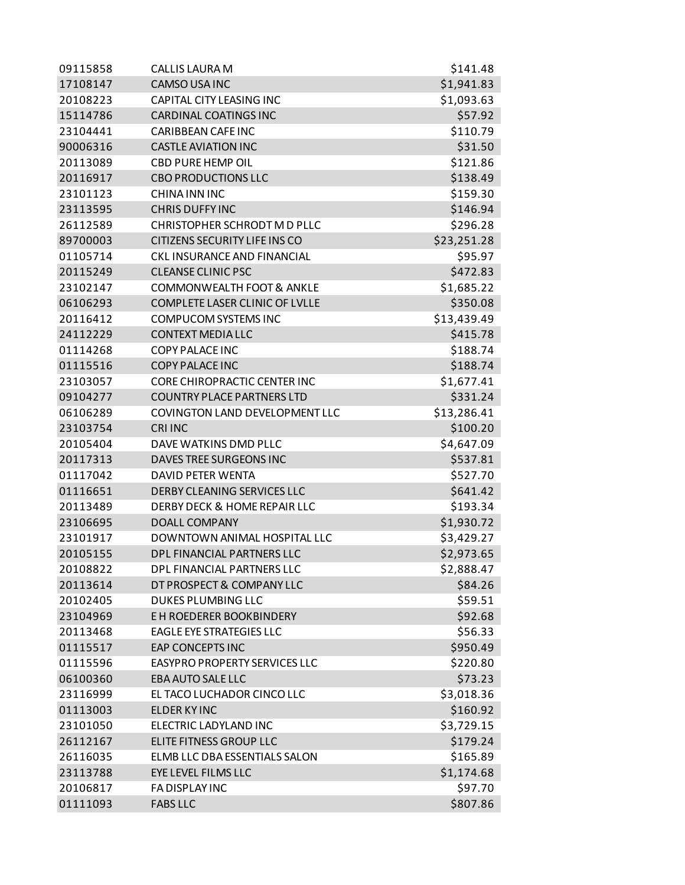| 09115858 | <b>CALLIS LAURA M</b>                | \$141.48    |
|----------|--------------------------------------|-------------|
| 17108147 | <b>CAMSO USA INC</b>                 | \$1,941.83  |
| 20108223 | <b>CAPITAL CITY LEASING INC</b>      | \$1,093.63  |
| 15114786 | <b>CARDINAL COATINGS INC</b>         | \$57.92     |
| 23104441 | <b>CARIBBEAN CAFE INC</b>            | \$110.79    |
| 90006316 | <b>CASTLE AVIATION INC</b>           | \$31.50     |
| 20113089 | <b>CBD PURE HEMP OIL</b>             | \$121.86    |
| 20116917 | <b>CBO PRODUCTIONS LLC</b>           | \$138.49    |
| 23101123 | <b>CHINA INN INC</b>                 | \$159.30    |
| 23113595 | <b>CHRIS DUFFY INC</b>               | \$146.94    |
| 26112589 | CHRISTOPHER SCHRODT M D PLLC         | \$296.28    |
| 89700003 | CITIZENS SECURITY LIFE INS CO        | \$23,251.28 |
| 01105714 | CKL INSURANCE AND FINANCIAL          | \$95.97     |
| 20115249 | <b>CLEANSE CLINIC PSC</b>            | \$472.83    |
| 23102147 | <b>COMMONWEALTH FOOT &amp; ANKLE</b> | \$1,685.22  |
| 06106293 | COMPLETE LASER CLINIC OF LVLLE       | \$350.08    |
| 20116412 | COMPUCOM SYSTEMS INC                 | \$13,439.49 |
| 24112229 | <b>CONTEXT MEDIA LLC</b>             | \$415.78    |
| 01114268 | <b>COPY PALACE INC</b>               | \$188.74    |
| 01115516 | <b>COPY PALACE INC</b>               | \$188.74    |
| 23103057 | <b>CORE CHIROPRACTIC CENTER INC</b>  | \$1,677.41  |
| 09104277 | <b>COUNTRY PLACE PARTNERS LTD</b>    | \$331.24    |
| 06106289 | COVINGTON LAND DEVELOPMENT LLC       | \$13,286.41 |
| 23103754 | <b>CRI INC</b>                       | \$100.20    |
| 20105404 | DAVE WATKINS DMD PLLC                | \$4,647.09  |
| 20117313 | DAVES TREE SURGEONS INC              | \$537.81    |
| 01117042 | <b>DAVID PETER WENTA</b>             | \$527.70    |
| 01116651 | DERBY CLEANING SERVICES LLC          | \$641.42    |
| 20113489 | DERBY DECK & HOME REPAIR LLC         | \$193.34    |
| 23106695 | DOALL COMPANY                        | \$1,930.72  |
| 23101917 | DOWNTOWN ANIMAL HOSPITAL LLC         | \$3,429.27  |
| 20105155 | DPL FINANCIAL PARTNERS LLC           | \$2,973.65  |
| 20108822 | DPL FINANCIAL PARTNERS LLC           | \$2,888.47  |
| 20113614 | DT PROSPECT & COMPANY LLC            | \$84.26     |
| 20102405 | <b>DUKES PLUMBING LLC</b>            | \$59.51     |
| 23104969 | E H ROEDERER BOOKBINDERY             | \$92.68     |
| 20113468 | <b>EAGLE EYE STRATEGIES LLC</b>      | \$56.33     |
| 01115517 | <b>EAP CONCEPTS INC</b>              | \$950.49    |
| 01115596 | <b>EASYPRO PROPERTY SERVICES LLC</b> | \$220.80    |
| 06100360 | EBA AUTO SALE LLC                    | \$73.23     |
| 23116999 | EL TACO LUCHADOR CINCO LLC           | \$3,018.36  |
| 01113003 | ELDER KY INC                         | \$160.92    |
| 23101050 | ELECTRIC LADYLAND INC                | \$3,729.15  |
| 26112167 | ELITE FITNESS GROUP LLC              | \$179.24    |
| 26116035 | ELMB LLC DBA ESSENTIALS SALON        | \$165.89    |
| 23113788 | EYE LEVEL FILMS LLC                  | \$1,174.68  |
| 20106817 | FA DISPLAY INC                       | \$97.70     |
| 01111093 | <b>FABS LLC</b>                      | \$807.86    |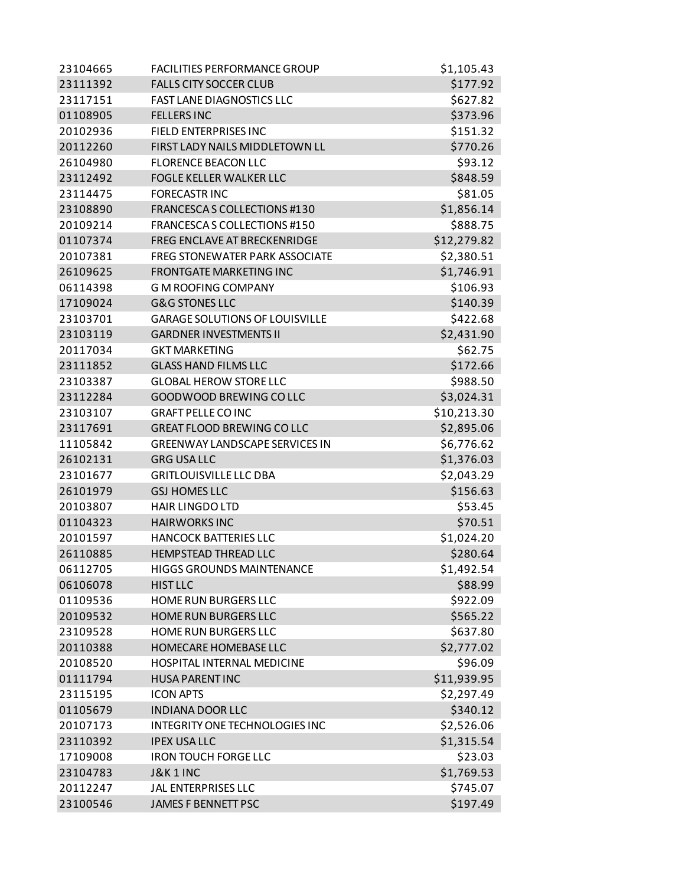| 23104665 | <b>FACILITIES PERFORMANCE GROUP</b>   | \$1,105.43  |
|----------|---------------------------------------|-------------|
| 23111392 | <b>FALLS CITY SOCCER CLUB</b>         | \$177.92    |
| 23117151 | <b>FAST LANE DIAGNOSTICS LLC</b>      | \$627.82    |
| 01108905 | <b>FELLERS INC</b>                    | \$373.96    |
| 20102936 | FIELD ENTERPRISES INC                 | \$151.32    |
| 20112260 | FIRST LADY NAILS MIDDLETOWN LL        | \$770.26    |
| 26104980 | <b>FLORENCE BEACON LLC</b>            | \$93.12     |
| 23112492 | <b>FOGLE KELLER WALKER LLC</b>        | \$848.59    |
| 23114475 | <b>FORECASTRINC</b>                   | \$81.05     |
| 23108890 | FRANCESCAS COLLECTIONS #130           | \$1,856.14  |
| 20109214 | FRANCESCAS COLLECTIONS #150           | \$888.75    |
| 01107374 | FREG ENCLAVE AT BRECKENRIDGE          | \$12,279.82 |
| 20107381 | <b>FREG STONEWATER PARK ASSOCIATE</b> | \$2,380.51  |
| 26109625 | <b>FRONTGATE MARKETING INC</b>        | \$1,746.91  |
| 06114398 | <b>G M ROOFING COMPANY</b>            | \$106.93    |
| 17109024 | <b>G&amp;G STONES LLC</b>             | \$140.39    |
| 23103701 | <b>GARAGE SOLUTIONS OF LOUISVILLE</b> | \$422.68    |
| 23103119 | <b>GARDNER INVESTMENTS II</b>         | \$2,431.90  |
| 20117034 | <b>GKT MARKETING</b>                  | \$62.75     |
| 23111852 | <b>GLASS HAND FILMS LLC</b>           | \$172.66    |
| 23103387 | <b>GLOBAL HEROW STORE LLC</b>         | \$988.50    |
| 23112284 | GOODWOOD BREWING CO LLC               | \$3,024.31  |
| 23103107 | <b>GRAFT PELLE CO INC</b>             | \$10,213.30 |
| 23117691 | <b>GREAT FLOOD BREWING CO LLC</b>     | \$2,895.06  |
| 11105842 | <b>GREENWAY LANDSCAPE SERVICES IN</b> | \$6,776.62  |
| 26102131 | <b>GRG USA LLC</b>                    | \$1,376.03  |
| 23101677 | <b>GRITLOUISVILLE LLC DBA</b>         | \$2,043.29  |
| 26101979 | <b>GSJ HOMES LLC</b>                  | \$156.63    |
| 20103807 | <b>HAIR LINGDO LTD</b>                | \$53.45     |
| 01104323 | <b>HAIRWORKS INC</b>                  | \$70.51     |
| 20101597 | <b>HANCOCK BATTERIES LLC</b>          | \$1,024.20  |
| 26110885 | <b>HEMPSTEAD THREAD LLC</b>           | \$280.64    |
| 06112705 | <b>HIGGS GROUNDS MAINTENANCE</b>      | \$1,492.54  |
| 06106078 | <b>HIST LLC</b>                       | \$88.99     |
| 01109536 | <b>HOME RUN BURGERS LLC</b>           | \$922.09    |
| 20109532 | <b>HOME RUN BURGERS LLC</b>           | \$565.22    |
| 23109528 | <b>HOME RUN BURGERS LLC</b>           | \$637.80    |
| 20110388 | HOMECARE HOMEBASE LLC                 | \$2,777.02  |
| 20108520 | HOSPITAL INTERNAL MEDICINE            | \$96.09     |
| 01111794 | <b>HUSA PARENT INC</b>                | \$11,939.95 |
| 23115195 | <b>ICON APTS</b>                      | \$2,297.49  |
| 01105679 | <b>INDIANA DOOR LLC</b>               | \$340.12    |
| 20107173 | INTEGRITY ONE TECHNOLOGIES INC        | \$2,526.06  |
| 23110392 | <b>IPEX USALLC</b>                    | \$1,315.54  |
| 17109008 | <b>IRON TOUCH FORGE LLC</b>           | \$23.03     |
| 23104783 | <b>J&amp;K1INC</b>                    | \$1,769.53  |
| 20112247 | <b>JAL ENTERPRISES LLC</b>            | \$745.07    |
| 23100546 | <b>JAMES F BENNETT PSC</b>            | \$197.49    |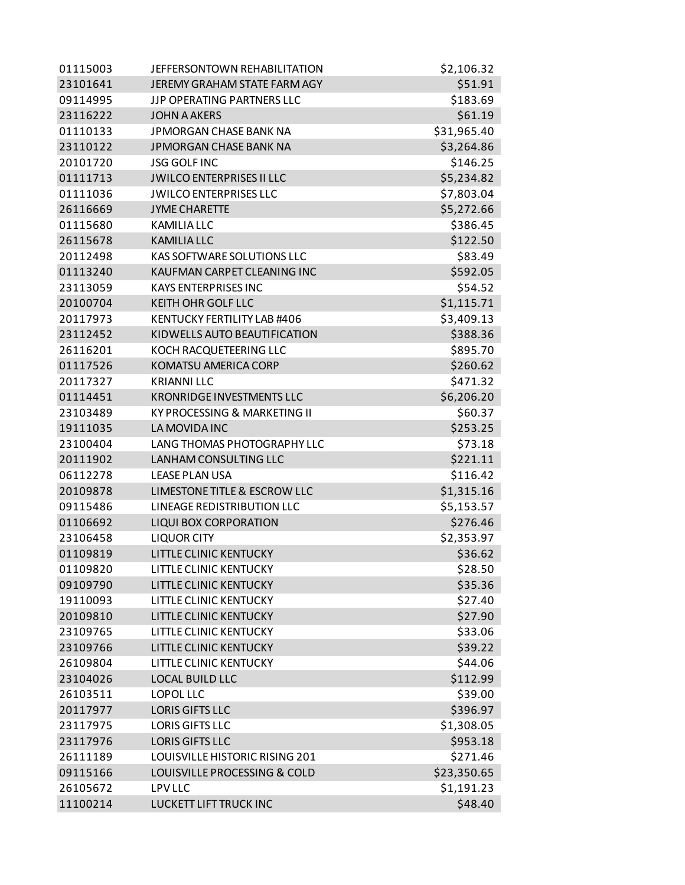| 01115003 | JEFFERSONTOWN REHABILITATION      | \$2,106.32  |
|----------|-----------------------------------|-------------|
| 23101641 | JEREMY GRAHAM STATE FARM AGY      | \$51.91     |
| 09114995 | <b>JJP OPERATING PARTNERS LLC</b> | \$183.69    |
| 23116222 | <b>JOHN A AKERS</b>               | \$61.19     |
| 01110133 | JPMORGAN CHASE BANK NA            | \$31,965.40 |
| 23110122 | <b>JPMORGAN CHASE BANK NA</b>     | \$3,264.86  |
| 20101720 | <b>JSG GOLF INC</b>               | \$146.25    |
| 01111713 | <b>JWILCO ENTERPRISES II LLC</b>  | \$5,234.82  |
| 01111036 | <b>JWILCO ENTERPRISES LLC</b>     | \$7,803.04  |
| 26116669 | <b>JYME CHARETTE</b>              | \$5,272.66  |
| 01115680 | <b>KAMILIA LLC</b>                | \$386.45    |
| 26115678 | <b>KAMILIA LLC</b>                | \$122.50    |
| 20112498 | <b>KAS SOFTWARE SOLUTIONS LLC</b> | \$83.49     |
| 01113240 | KAUFMAN CARPET CLEANING INC       | \$592.05    |
| 23113059 | <b>KAYS ENTERPRISES INC</b>       | \$54.52     |
| 20100704 | <b>KEITH OHR GOLF LLC</b>         | \$1,115.71  |
| 20117973 | KENTUCKY FERTILITY LAB #406       | \$3,409.13  |
| 23112452 | KIDWELLS AUTO BEAUTIFICATION      | \$388.36    |
| 26116201 | KOCH RACQUETEERING LLC            | \$895.70    |
| 01117526 | KOMATSU AMERICA CORP              | \$260.62    |
| 20117327 | <b>KRIANNI LLC</b>                | \$471.32    |
| 01114451 | <b>KRONRIDGE INVESTMENTS LLC</b>  | \$6,206.20  |
| 23103489 | KY PROCESSING & MARKETING II      | \$60.37     |
| 19111035 | LA MOVIDA INC                     | \$253.25    |
| 23100404 | LANG THOMAS PHOTOGRAPHY LLC       | \$73.18     |
| 20111902 | LANHAM CONSULTING LLC             | \$221.11    |
| 06112278 | <b>LEASE PLAN USA</b>             | \$116.42    |
| 20109878 | LIMESTONE TITLE & ESCROW LLC      | \$1,315.16  |
| 09115486 | <b>LINEAGE REDISTRIBUTION LLC</b> | \$5,153.57  |
| 01106692 | <b>LIQUI BOX CORPORATION</b>      | \$276.46    |
| 23106458 | <b>LIQUOR CITY</b>                | \$2,353.97  |
| 01109819 | <b>LITTLE CLINIC KENTUCKY</b>     | \$36.62     |
| 01109820 | LITTLE CLINIC KENTUCKY            | \$28.50     |
| 09109790 | LITTLE CLINIC KENTUCKY            | \$35.36     |
| 19110093 | LITTLE CLINIC KENTUCKY            | \$27.40     |
| 20109810 | LITTLE CLINIC KENTUCKY            | \$27.90     |
| 23109765 | LITTLE CLINIC KENTUCKY            | \$33.06     |
| 23109766 | <b>LITTLE CLINIC KENTUCKY</b>     | \$39.22     |
| 26109804 | LITTLE CLINIC KENTUCKY            | \$44.06     |
| 23104026 | <b>LOCAL BUILD LLC</b>            | \$112.99    |
| 26103511 | LOPOL LLC                         | \$39.00     |
| 20117977 | <b>LORIS GIFTS LLC</b>            | \$396.97    |
| 23117975 | <b>LORIS GIFTS LLC</b>            | \$1,308.05  |
| 23117976 | <b>LORIS GIFTS LLC</b>            | \$953.18    |
| 26111189 | LOUISVILLE HISTORIC RISING 201    | \$271.46    |
| 09115166 | LOUISVILLE PROCESSING & COLD      | \$23,350.65 |
| 26105672 | <b>LPV LLC</b>                    | \$1,191.23  |
| 11100214 | LUCKETT LIFT TRUCK INC            | \$48.40     |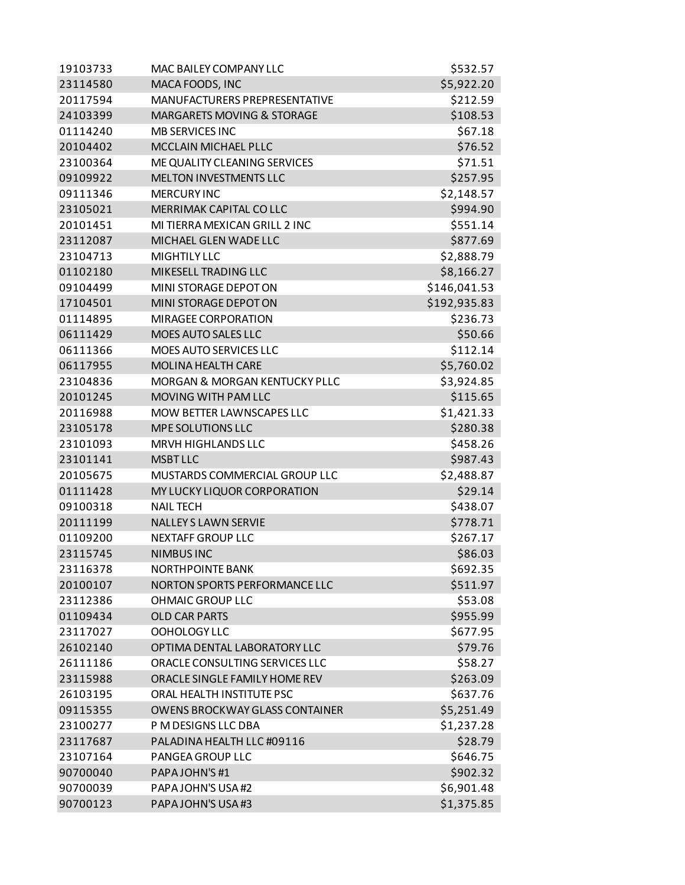| 19103733 | MAC BAILEY COMPANY LLC                   | \$532.57     |
|----------|------------------------------------------|--------------|
| 23114580 | MACA FOODS, INC                          | \$5,922.20   |
| 20117594 | MANUFACTURERS PREPRESENTATIVE            | \$212.59     |
| 24103399 | MARGARETS MOVING & STORAGE               | \$108.53     |
| 01114240 | <b>MB SERVICES INC</b>                   | \$67.18      |
| 20104402 | MCCLAIN MICHAEL PLLC                     | \$76.52      |
| 23100364 | ME QUALITY CLEANING SERVICES             | \$71.51      |
| 09109922 | MELTON INVESTMENTS LLC                   | \$257.95     |
| 09111346 | <b>MERCURY INC</b>                       | \$2,148.57   |
| 23105021 | MERRIMAK CAPITAL CO LLC                  | \$994.90     |
| 20101451 | MI TIERRA MEXICAN GRILL 2 INC            | \$551.14     |
| 23112087 | MICHAEL GLEN WADE LLC                    | \$877.69     |
| 23104713 | <b>MIGHTILY LLC</b>                      | \$2,888.79   |
| 01102180 | MIKESELL TRADING LLC                     | \$8,166.27   |
| 09104499 | MINI STORAGE DEPOT ON                    | \$146,041.53 |
| 17104501 | MINI STORAGE DEPOT ON                    | \$192,935.83 |
| 01114895 | <b>MIRAGEE CORPORATION</b>               | \$236.73     |
| 06111429 | MOES AUTO SALES LLC                      | \$50.66      |
| 06111366 | <b>MOES AUTO SERVICES LLC</b>            | \$112.14     |
| 06117955 | MOLINA HEALTH CARE                       | \$5,760.02   |
| 23104836 | <b>MORGAN &amp; MORGAN KENTUCKY PLLC</b> | \$3,924.85   |
| 20101245 | MOVING WITH PAM LLC                      | \$115.65     |
| 20116988 | MOW BETTER LAWNSCAPES LLC                | \$1,421.33   |
| 23105178 | MPE SOLUTIONS LLC                        | \$280.38     |
| 23101093 | MRVH HIGHLANDS LLC                       | \$458.26     |
| 23101141 | <b>MSBT LLC</b>                          | \$987.43     |
| 20105675 | MUSTARDS COMMERCIAL GROUP LLC            | \$2,488.87   |
| 01111428 | MY LUCKY LIQUOR CORPORATION              | \$29.14      |
| 09100318 | <b>NAIL TECH</b>                         | \$438.07     |
| 20111199 | <b>NALLEY S LAWN SERVIE</b>              | \$778.71     |
| 01109200 | <b>NEXTAFF GROUP LLC</b>                 | \$267.17     |
| 23115745 | <b>NIMBUS INC</b>                        | \$86.03      |
| 23116378 | <b>NORTHPOINTE BANK</b>                  | \$692.35     |
| 20100107 | NORTON SPORTS PERFORMANCE LLC            | \$511.97     |
| 23112386 | <b>OHMAIC GROUP LLC</b>                  | \$53.08      |
| 01109434 | <b>OLD CAR PARTS</b>                     | \$955.99     |
| 23117027 | OOHOLOGY LLC                             | \$677.95     |
| 26102140 | OPTIMA DENTAL LABORATORY LLC             | \$79.76      |
| 26111186 | ORACLE CONSULTING SERVICES LLC           | \$58.27      |
| 23115988 | ORACLE SINGLE FAMILY HOME REV            | \$263.09     |
| 26103195 | ORAL HEALTH INSTITUTE PSC                | \$637.76     |
| 09115355 | <b>OWENS BROCKWAY GLASS CONTAINER</b>    | \$5,251.49   |
| 23100277 | P M DESIGNS LLC DBA                      | \$1,237.28   |
| 23117687 | PALADINA HEALTH LLC #09116               | \$28.79      |
| 23107164 | PANGEA GROUP LLC                         | \$646.75     |
| 90700040 | PAPAJOHN'S #1                            | \$902.32     |
| 90700039 | PAPAJOHN'S USA #2                        | \$6,901.48   |
| 90700123 | PAPAJOHN'S USA #3                        | \$1,375.85   |
|          |                                          |              |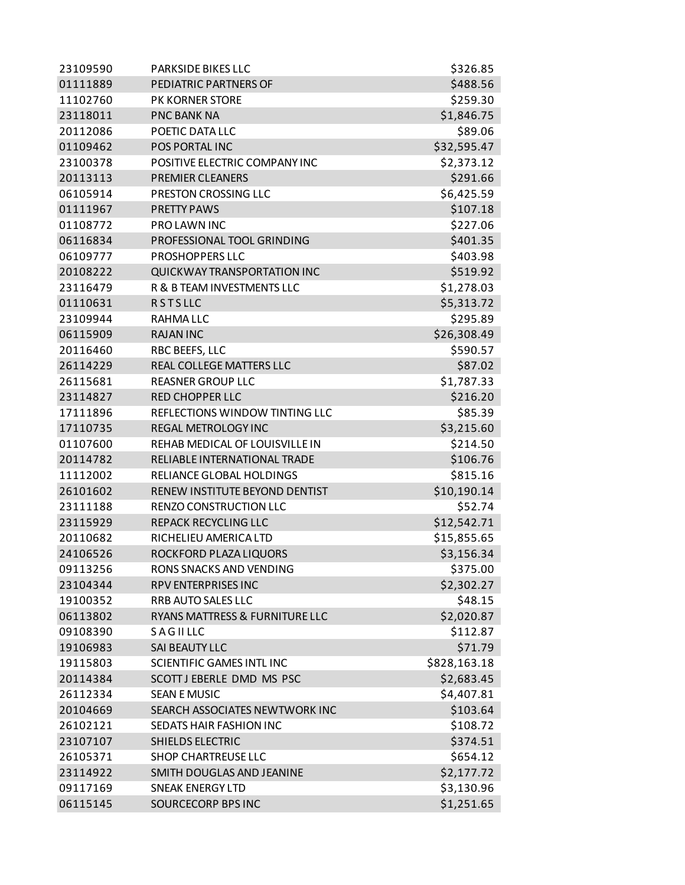| 23109590 | <b>PARKSIDE BIKES LLC</b>        | \$326.85     |
|----------|----------------------------------|--------------|
| 01111889 | PEDIATRIC PARTNERS OF            | \$488.56     |
| 11102760 | PK KORNER STORE                  | \$259.30     |
| 23118011 | <b>PNC BANK NA</b>               | \$1,846.75   |
| 20112086 | POETIC DATA LLC                  | \$89.06      |
| 01109462 | POS PORTAL INC                   | \$32,595.47  |
| 23100378 | POSITIVE ELECTRIC COMPANY INC    | \$2,373.12   |
| 20113113 | <b>PREMIER CLEANERS</b>          | \$291.66     |
| 06105914 | PRESTON CROSSING LLC             | \$6,425.59   |
| 01111967 | <b>PRETTY PAWS</b>               | \$107.18     |
| 01108772 | <b>PROLAWNINC</b>                | \$227.06     |
| 06116834 | PROFESSIONAL TOOL GRINDING       | \$401.35     |
| 06109777 | <b>PROSHOPPERS LLC</b>           | \$403.98     |
| 20108222 | QUICKWAY TRANSPORTATION INC      | \$519.92     |
| 23116479 | R & B TEAM INVESTMENTS LLC       | \$1,278.03   |
| 01110631 | <b>RSTSLLC</b>                   | \$5,313.72   |
| 23109944 | RAHMA LLC                        | \$295.89     |
| 06115909 | <b>RAJAN INC</b>                 | \$26,308.49  |
| 20116460 | RBC BEEFS, LLC                   | \$590.57     |
| 26114229 | REAL COLLEGE MATTERS LLC         | \$87.02      |
| 26115681 | <b>REASNER GROUP LLC</b>         | \$1,787.33   |
| 23114827 | <b>RED CHOPPER LLC</b>           | \$216.20     |
| 17111896 | REFLECTIONS WINDOW TINTING LLC   | \$85.39      |
| 17110735 | REGAL METROLOGY INC              | \$3,215.60   |
| 01107600 | REHAB MEDICAL OF LOUISVILLE IN   | \$214.50     |
| 20114782 | RELIABLE INTERNATIONAL TRADE     | \$106.76     |
| 11112002 | RELIANCE GLOBAL HOLDINGS         | \$815.16     |
| 26101602 | RENEW INSTITUTE BEYOND DENTIST   | \$10,190.14  |
| 23111188 | RENZO CONSTRUCTION LLC           | \$52.74      |
| 23115929 | REPACK RECYCLING LLC             | \$12,542.71  |
| 20110682 | RICHELIEU AMERICA LTD            | \$15,855.65  |
| 24106526 | ROCKFORD PLAZA LIQUORS           | \$3,156.34   |
| 09113256 | RONS SNACKS AND VENDING          | \$375.00     |
| 23104344 | RPV ENTERPRISES INC              | \$2,302.27   |
| 19100352 | RRB AUTO SALES LLC               | \$48.15      |
| 06113802 | RYANS MATTRESS & FURNITURE LLC   | \$2,020.87   |
| 09108390 | SAGILLLC                         | \$112.87     |
| 19106983 | SAI BEAUTY LLC                   | \$71.79      |
| 19115803 | <b>SCIENTIFIC GAMES INTL INC</b> | \$828,163.18 |
| 20114384 | SCOTT J EBERLE DMD MS PSC        | \$2,683.45   |
| 26112334 | <b>SEAN E MUSIC</b>              | \$4,407.81   |
| 20104669 | SEARCH ASSOCIATES NEWTWORK INC   | \$103.64     |
|          |                                  |              |
| 26102121 | SEDATS HAIR FASHION INC          | \$108.72     |
| 23107107 | SHIELDS ELECTRIC                 | \$374.51     |
| 26105371 | SHOP CHARTREUSE LLC              | \$654.12     |
| 23114922 | SMITH DOUGLAS AND JEANINE        | \$2,177.72   |
| 09117169 | <b>SNEAK ENERGY LTD</b>          | \$3,130.96   |
| 06115145 | <b>SOURCECORP BPS INC</b>        | \$1,251.65   |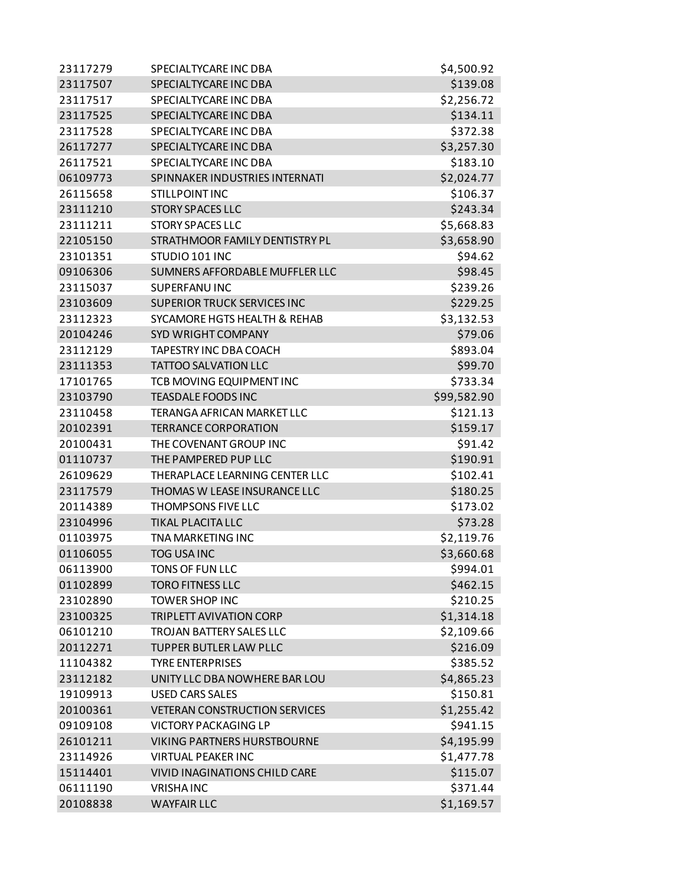| 23117279 | SPECIALTYCARE INC DBA                   | \$4,500.92  |
|----------|-----------------------------------------|-------------|
| 23117507 | SPECIALTYCARE INC DBA                   | \$139.08    |
| 23117517 | SPECIALTYCARE INC DBA                   | \$2,256.72  |
| 23117525 | SPECIALTYCARE INC DBA                   | \$134.11    |
| 23117528 | SPECIALTYCARE INC DBA                   | \$372.38    |
| 26117277 | SPECIALTYCARE INC DBA                   | \$3,257.30  |
| 26117521 | SPECIALTYCARE INC DBA                   | \$183.10    |
| 06109773 | SPINNAKER INDUSTRIES INTERNATI          | \$2,024.77  |
| 26115658 | <b>STILLPOINT INC</b>                   | \$106.37    |
| 23111210 | <b>STORY SPACES LLC</b>                 | \$243.34    |
| 23111211 | <b>STORY SPACES LLC</b>                 | \$5,668.83  |
| 22105150 | STRATHMOOR FAMILY DENTISTRY PL          | \$3,658.90  |
| 23101351 | STUDIO 101 INC                          | \$94.62     |
| 09106306 | SUMNERS AFFORDABLE MUFFLER LLC          | \$98.45     |
| 23115037 | SUPERFANU INC                           | \$239.26    |
| 23103609 | <b>SUPERIOR TRUCK SERVICES INC</b>      | \$229.25    |
| 23112323 | <b>SYCAMORE HGTS HEALTH &amp; REHAB</b> | \$3,132.53  |
| 20104246 | <b>SYD WRIGHT COMPANY</b>               | \$79.06     |
| 23112129 | TAPESTRY INC DBA COACH                  | \$893.04    |
| 23111353 | <b>TATTOO SALVATION LLC</b>             | \$99.70     |
| 17101765 | TCB MOVING EQUIPMENT INC                | \$733.34    |
| 23103790 | <b>TEASDALE FOODS INC</b>               | \$99,582.90 |
| 23110458 | TERANGA AFRICAN MARKET LLC              | \$121.13    |
| 20102391 | <b>TERRANCE CORPORATION</b>             | \$159.17    |
| 20100431 | THE COVENANT GROUP INC                  | \$91.42     |
| 01110737 | THE PAMPERED PUP LLC                    | \$190.91    |
| 26109629 | THERAPLACE LEARNING CENTER LLC          | \$102.41    |
| 23117579 | THOMAS W LEASE INSURANCE LLC            | \$180.25    |
| 20114389 | THOMPSONS FIVE LLC                      | \$173.02    |
| 23104996 | TIKAL PLACITA LLC                       | \$73.28     |
| 01103975 | <b>TNA MARKETING INC</b>                | \$2,119.76  |
| 01106055 | <b>TOG USAINC</b>                       | \$3,660.68  |
| 06113900 | TONS OF FUN LLC                         | \$994.01    |
| 01102899 | <b>TORO FITNESS LLC</b>                 | \$462.15    |
| 23102890 | <b>TOWER SHOP INC</b>                   | \$210.25    |
| 23100325 | <b>TRIPLETT AVIVATION CORP</b>          | \$1,314.18  |
| 06101210 | <b>TROJAN BATTERY SALES LLC</b>         | \$2,109.66  |
| 20112271 | <b>TUPPER BUTLER LAW PLLC</b>           | \$216.09    |
| 11104382 | <b>TYRE ENTERPRISES</b>                 | \$385.52    |
| 23112182 | UNITY LLC DBA NOWHERE BAR LOU           | \$4,865.23  |
| 19109913 | <b>USED CARS SALES</b>                  | \$150.81    |
| 20100361 | <b>VETERAN CONSTRUCTION SERVICES</b>    | \$1,255.42  |
| 09109108 | <b>VICTORY PACKAGING LP</b>             | \$941.15    |
| 26101211 | VIKING PARTNERS HURSTBOURNE             | \$4,195.99  |
| 23114926 | <b>VIRTUAL PEAKER INC</b>               | \$1,477.78  |
| 15114401 | VIVID INAGINATIONS CHILD CARE           | \$115.07    |
| 06111190 | <b>VRISHAINC</b>                        | \$371.44    |
| 20108838 | <b>WAYFAIR LLC</b>                      | \$1,169.57  |